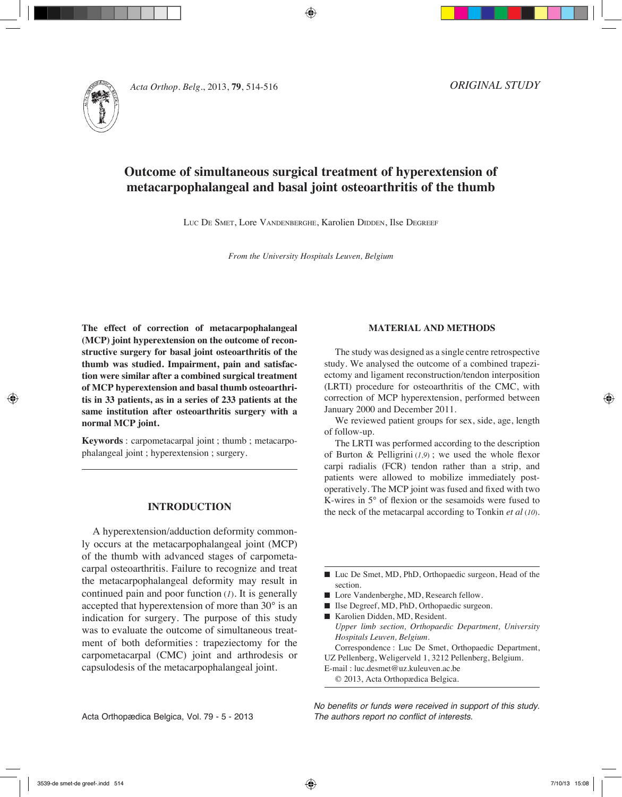

# **Outcome of simultaneous surgical treatment of hyperextension of metacarpophalangeal and basal joint osteoarthritis of the thumb**

Luc De SMET, Lore VANDENBERGHE, Karolien DIDDEN, Ilse DEGREEF

*From the University Hospitals Leuven, Belgium*

**The effect of correction of metacarpophalangeal (MCP) joint hyperextension on the outcome of reconstructive surgery for basal joint osteoarthritis of the thumb was studied. Impairment, pain and satisfaction were similar after a combined surgical treatment of MCP hyperextension and basal thumb osteoarthritis in 33 patients, as in a series of 233 patients at the same institution after osteoarthritis surgery with a normal MCP joint.** 

**Keywords** : carpometacarpal joint ; thumb ; metacarpophalangeal joint ; hyperextension ; surgery.

## **INTRODUCTION**

A hyperextension/adduction deformity commonly occurs at the metacarpophalangeal joint (MCP) of the thumb with advanced stages of carpometacarpal osteoarthritis. Failure to recognize and treat the metacarpophalangeal deformity may result in continued pain and poor function (*1*). It is generally accepted that hyperextension of more than 30° is an indication for surgery. The purpose of this study was to evaluate the outcome of simultaneous treatment of both deformities : trapeziectomy for the carpometacarpal (CMC) joint and arthrodesis or capsulodesis of the metacarpophalangeal joint.

### **MATERIAL AND METHODS**

The study was designed as a single centre retrospective study. We analysed the outcome of a combined trapeziectomy and ligament reconstruction/tendon interposition (LRTI) procedure for osteoarthritis of the CMC, with correction of MCP hyperextension, performed between January 2000 and December 2011.

We reviewed patient groups for sex, side, age, length of follow-up.

The LRTI was performed according to the description of Burton & Pelligrini  $(1,9)$ ; we used the whole flexor carpi radialis (FCR) tendon rather than a strip, and patients were allowed to mobilize immediately postoperatively. The MCP joint was fused and fixed with two K-wires in 5° of flexion or the sesamoids were fused to the neck of the metacarpal according to Tonkin *et al* (*10*).

- Luc De Smet, MD, PhD, Orthopaedic surgeon, Head of the section.
- Lore Vandenberghe, MD, Research fellow.
- Ilse Degreef, MD, PhD, Orthopaedic surgeon.
- Karolien Didden, MD, Resident. *Upper limb section, Orthopaedic Department, University Hospitals Leuven, Belgium.* Correspondence : Luc De Smet, Orthopaedic Department,
- UZ Pellenberg, Weligerveld 1, 3212 Pellenberg, Belgium.
- E-mail : luc.desmet@uz.kuleuven.ac.be
- © 2013, Acta Orthopædica Belgica.

*No benefits or funds were received in support of this study. The authors report no conflict of interests.*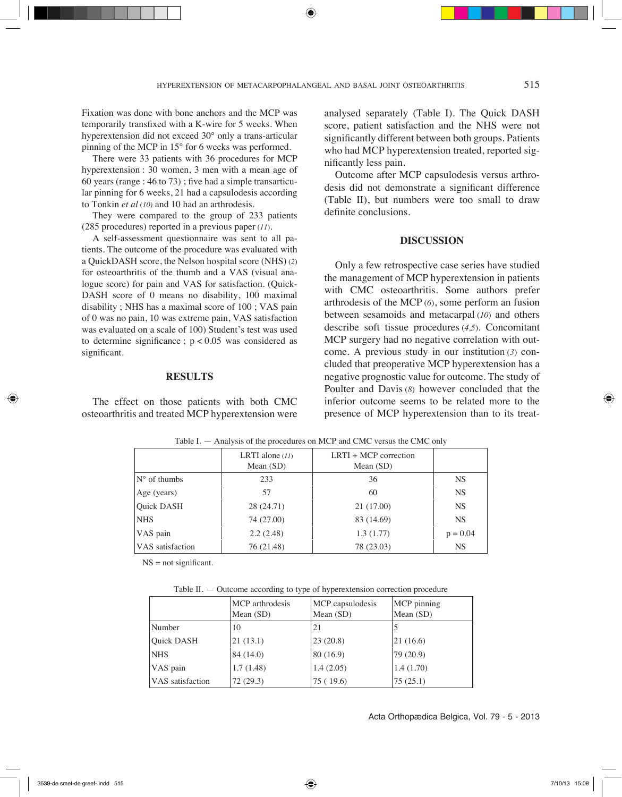Fixation was done with bone anchors and the MCP was temporarily transfixed with a K-wire for 5 weeks. When hyperextension did not exceed 30° only a trans-articular pinning of the MCP in 15° for 6 weeks was performed.

There were 33 patients with 36 procedures for MCP hyperextension : 30 women, 3 men with a mean age of 60 years (range  $: 46$  to 73) ; five had a simple transarticular pinning for 6 weeks, 21 had a capsulodesis according to Tonkin *et al* (*10)* and 10 had an arthrodesis.

They were compared to the group of 233 patients (285 procedures) reported in a previous paper (*11*).

A self-assessment questionnaire was sent to all patients. The outcome of the procedure was evaluated with a QuickDASH score, the Nelson hospital score (NHS) (*2*) for osteoarthritis of the thumb and a VAS (visual analogue score) for pain and VAS for satisfaction. (Quick-DASH score of 0 means no disability, 100 maximal disability ; NHS has a maximal score of 100 ; VAS pain of 0 was no pain, 10 was extreme pain, VAS satisfaction was evaluated on a scale of 100) Student's test was used to determine significance ;  $p < 0.05$  was considered as significant.

### **RESULTS**

The effect on those patients with both CMC osteoarthritis and treated MCP hyperextension were analysed separately (Table I). The Quick DASH score, patient satisfaction and the NHS were not significantly different between both groups. Patients who had MCP hyperextension treated, reported significantly less pain.

Outcome after MCP capsulodesis versus arthrodesis did not demonstrate a significant difference (Table II), but numbers were too small to draw definite conclusions.

#### **DISCUSSION**

Only a few retrospective case series have studied the management of MCP hyperextension in patients with CMC osteoarthritis. Some authors prefer arthrodesis of the MCP (*6*), some perform an fusion between sesamoids and metacarpal (*10*) and others describe soft tissue procedures (*4,5*). Concomitant MCP surgery had no negative correlation with outcome. A previous study in our institution (*3*) concluded that preoperative MCP hyperextension has a negative prognostic value for outcome. The study of Poulter and Davis (*8*) however concluded that the inferior outcome seems to be related more to the presence of MCP hyperextension than to its treat-

|                       | LRTI alone $(11)$<br>Mean $(SD)$ | $LRTI + MCP$ correction<br>Mean $(SD)$ |            |
|-----------------------|----------------------------------|----------------------------------------|------------|
| $N^{\circ}$ of thumbs | 233                              | 36                                     | <b>NS</b>  |
| Age (years)           | 57                               | 60                                     | <b>NS</b>  |
| <b>Ouick DASH</b>     | 28 (24.71)                       | 21 (17.00)                             | <b>NS</b>  |
| NHS                   | 74 (27.00)                       | 83 (14.69)                             | <b>NS</b>  |
| VAS pain              | 2.2(2.48)                        | 1.3(1.77)                              | $p = 0.04$ |
| VAS satisfaction      | 76 (21.48)                       | 78 (23.03)                             | <b>NS</b>  |

Table I. — Analysis of the procedures on MCP and CMC versus the CMC only

 $NS = not significant$ .

| Table II. — Outcome according to type of hyperextension correction procedure |  |
|------------------------------------------------------------------------------|--|
|------------------------------------------------------------------------------|--|

|                         | MCP arthrodesis<br>Mean $(SD)$ | MCP capsulodesis<br>Mean $(SD)$ | MCP pinning<br>Mean $(SD)$ |
|-------------------------|--------------------------------|---------------------------------|----------------------------|
| Number                  | 10                             | 21                              |                            |
| <b>Ouick DASH</b>       | 21(13.1)                       | 23(20.8)                        | 21(16.6)                   |
| <b>NHS</b>              | 84 (14.0)                      | 80(16.9)                        | 79 (20.9)                  |
| VAS pain                | 1.7(1.48)                      | 1.4(2.05)                       | 1.4(1.70)                  |
| <b>VAS</b> satisfaction | 72(29.3)                       | 75 (19.6)                       | 75(25.1)                   |